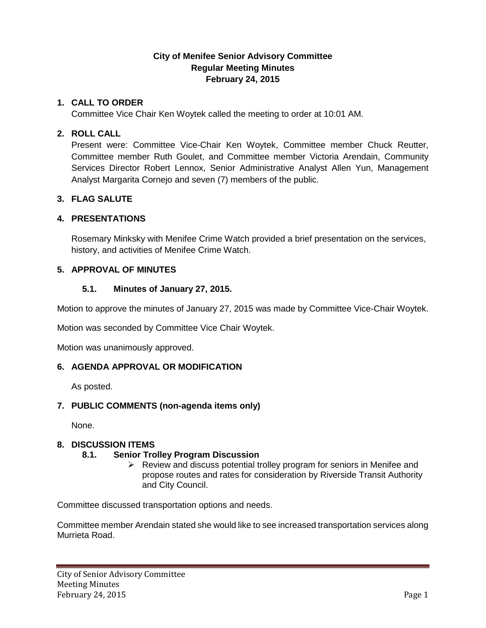## **City of Menifee Senior Advisory Committee Regular Meeting Minutes February 24, 2015**

## **1. CALL TO ORDER**

Committee Vice Chair Ken Woytek called the meeting to order at 10:01 AM.

#### **2. ROLL CALL**

Present were: Committee Vice-Chair Ken Woytek, Committee member Chuck Reutter, Committee member Ruth Goulet, and Committee member Victoria Arendain, Community Services Director Robert Lennox, Senior Administrative Analyst Allen Yun, Management Analyst Margarita Cornejo and seven (7) members of the public.

### **3. FLAG SALUTE**

### **4. PRESENTATIONS**

Rosemary Minksky with Menifee Crime Watch provided a brief presentation on the services, history, and activities of Menifee Crime Watch.

### **5. APPROVAL OF MINUTES**

#### **5.1. Minutes of January 27, 2015.**

Motion to approve the minutes of January 27, 2015 was made by Committee Vice-Chair Woytek.

Motion was seconded by Committee Vice Chair Woytek.

Motion was unanimously approved.

#### **6. AGENDA APPROVAL OR MODIFICATION**

As posted.

#### **7. PUBLIC COMMENTS (non-agenda items only)**

None.

## **8. DISCUSSION ITEMS**

## **8.1. Senior Trolley Program Discussion**

 $\triangleright$  Review and discuss potential trolley program for seniors in Menifee and propose routes and rates for consideration by Riverside Transit Authority and City Council.

Committee discussed transportation options and needs.

Committee member Arendain stated she would like to see increased transportation services along Murrieta Road.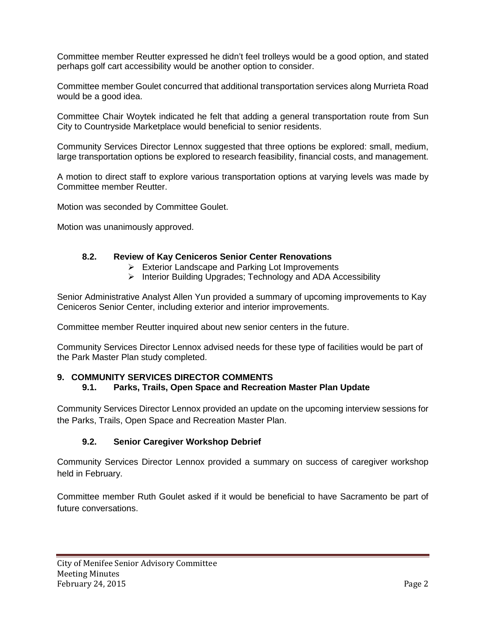Committee member Reutter expressed he didn't feel trolleys would be a good option, and stated perhaps golf cart accessibility would be another option to consider.

Committee member Goulet concurred that additional transportation services along Murrieta Road would be a good idea.

Committee Chair Woytek indicated he felt that adding a general transportation route from Sun City to Countryside Marketplace would beneficial to senior residents.

Community Services Director Lennox suggested that three options be explored: small, medium, large transportation options be explored to research feasibility, financial costs, and management.

A motion to direct staff to explore various transportation options at varying levels was made by Committee member Reutter.

Motion was seconded by Committee Goulet.

Motion was unanimously approved.

#### **8.2. Review of Kay Ceniceros Senior Center Renovations**

- Exterior Landscape and Parking Lot Improvements
- $\triangleright$  Interior Building Upgrades; Technology and ADA Accessibility

Senior Administrative Analyst Allen Yun provided a summary of upcoming improvements to Kay Ceniceros Senior Center, including exterior and interior improvements.

Committee member Reutter inquired about new senior centers in the future.

Community Services Director Lennox advised needs for these type of facilities would be part of the Park Master Plan study completed.

### **9. COMMUNITY SERVICES DIRECTOR COMMENTS 9.1. Parks, Trails, Open Space and Recreation Master Plan Update**

Community Services Director Lennox provided an update on the upcoming interview sessions for the Parks, Trails, Open Space and Recreation Master Plan.

#### **9.2. Senior Caregiver Workshop Debrief**

Community Services Director Lennox provided a summary on success of caregiver workshop held in February.

Committee member Ruth Goulet asked if it would be beneficial to have Sacramento be part of future conversations.